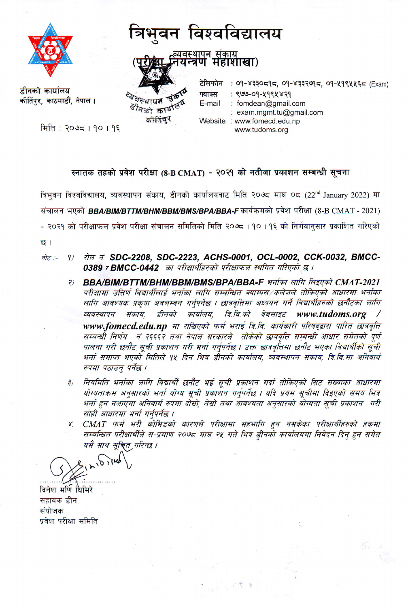

डीनको कार्यालय कीर्तिपर, काठमाडौं, नेपाल ।

मिति : २०७८ । १० । १६

## त्रिभुवन विश्वविद्यालय

व्यवस्थापन संकाय<br>नयन्त्रण महाशाखा)

व्येवस्थापत Storat of arters कीलिंगर

टेलिफोन : 09-४३३०८१८, 09-४३३२७१८, 09-५१९५५६८ (Exam) फ्याक्स : ९७७-०१-५१९५४२१ E-mail : fomdean@gmail.com : exam.mgmt.tu@gmail.com Website : www.fomecd.edu.np www.tudoms.org

## स्नातक तहको प्रवेश परीक्षा (8-B CMAT) - २०२१ को नतीजा प्रकाशन सम्बन्धी सूचना

त्रिभवन विश्वविद्यालय, व्यवस्थापन संकाय, डीनको कार्यालयवाट मिति २०७८ माघ ०८ (22<sup>nd</sup> January 2022) मा संचालन भएको BBA/BIM/BTTM/BHM/BBM/BMS/BPA/BBA-F कार्यक्रमको प्रवेश परीक्षा (8-B CMAT - 2021) - २०२१ को परीक्षाफल प्रवेश परीक्षा संचालन समितिको मिति २०७८ । १० । १६ को निर्णयानुसार प्रकाशित गरिएको छ।

- रोल नं. SDC-2208, SDC-2223, ACHS-0001, OCL-0002, CCK-0032, BMCC-नोट :- $9)$ 0389 र BMCC-0442 का परीक्षार्थीहरुको परीक्षाफल स्थगित गरिएको छ ।
	- BBA/BIM/BTTM/BHM/BBM/BMS/BPA/BBA-F भर्नाका लागि लिइएको CMAT-2021  $\overline{P}$ परीक्षामा उत्तिर्ण विद्यार्थीलाई भर्ताका लागि सम्बन्धित क्याम्पस⁄कलेजले तोकिएको आधारमा भर्नाका लागि आवश्यक प्रकृया अवलम्बन गर्नुपर्नेछ । छात्रवृत्तिमा अध्ययन गर्ने विद्यार्थीहरुको छनौटका लागि कार्यालय, त्रि.वि.को व्यवस्थापन संकाय. डीनको वेबसाइट www.tudoms.org www.fomecd.edu.np मा राखिएको फर्म भराई त्रि.वि. कार्यकारी परिषद्द्वारा पारित छात्रवृत्ति सम्बन्धौ निर्णय नं २६६६२ तथा नेपाल सरकारले तोकेको छात्रवृत्ति सम्बन्धी आधार समेतको पूर्ण पालना गरी छनौट सूची प्रकाशन गरी भर्ना गर्न्एर्नेछ । उक्त छात्रवृत्तिमा छनौट भएका विद्यार्थीको सूची भर्ना समाप्त भएको मितिले १४ दिन भित्र डीनको कार्यालय, व्यवस्थापन संकाय, त्रि.वि.मा अनिवार्य रुपमा पठाउन् पर्नेछ ।
	- नियमिति भर्नाका लागि विद्यार्थी छनौट भई सूची प्रकाशन गर्दा तोकिएको सिट संख्याका आधारमा  $\overline{z}$ योग्यताक्रम अनुसारको भर्ना योग्य सूची प्रकाशन गर्नुपर्नेछ । यदि प्रथम सूचीमा दिइएको समय भित्र भर्ना हुन नआएमा अनिवार्य रुपमा दोस्रो, तेस्रो तथा आवश्यता अनुसारको योग्यता सूची प्रकाशन गरी सोही आधारमा भर्ना गर्नुपर्नेछ ।
	- ४. CMAT फर्म भरी कोभिडको कारणले परीक्षामा सहभागि हुन नसकेका परीक्षार्थीहरुको हकमा सम्बन्धित परीक्षार्थीले स-प्रमाण २०७८ माघ २५ गते भित्र डीनको कार्यालयमा निवेदन दिन् हुन समेत यसै साथ सचित गरिन्छ ।

三學

 $\overline{h}$ 

दिनेश मर्णि श्विमिरे सहायक डीन संयोजक प्रवेश परीक्षा समिति